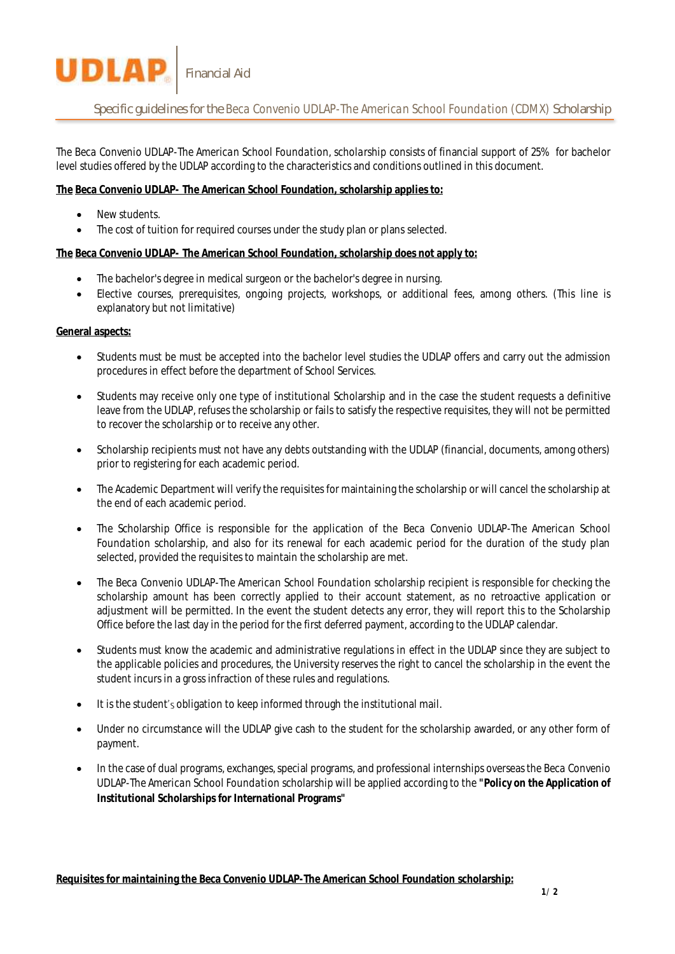Specific guidelines for the *Beca Convenio UDLAP-The American School Foundation (CDMX)* Scholarship

*The Beca Convenio UDLAP-The American School Foundation, scholarship* consists of financial support of 25% for bachelor level studies offered by the UDLAP according to the characteristics and conditions outlined in this document.

**The Beca Convenio UDLAP- The American School Foundation, scholarship applies to:**

Financial Aid

**New students** 

**UDLAP** 

• The cost of tuition for required courses under the study plan or plans selected.

**The Beca Convenio UDLAP- The American School Foundation, scholarship does not apply to:**

- The bachelor's degree in medical surgeon or the bachelor's degree in nursing.
- Elective courses, prerequisites, ongoing projects, workshops, or additional fees, among others. (This line is explanatory but not limitative)

## **General aspects:**

- Students must be must be accepted into the bachelor level studies the UDLAP offers and carry out the admission procedures in effect before the department of School Services.
- Students may receive only one type of institutional Scholarship and in the case the student requests a definitive leave from the UDLAP, refuses the scholarship or fails to satisfy the respective requisites, they will not be permitted to recover the scholarship or to receive any other.
- Scholarship recipients must not have any debts outstanding with the UDLAP (financial, documents, among others) prior to registering for each academic period.
- The Academic Department will verify the requisites for maintaining the scholarship or will cancel the scholarship at the end of each academic period.
- The Scholarship Office is responsible for the application of the *Beca Convenio UDLAP-The American School Foundation* scholarship, and also for its renewal for each academic period for the duration of the study plan selected, provided the requisites to maintain the scholarship are met.
- The *Beca Convenio UDLAP-The American School Foundation* scholarship recipient is responsible for checking the scholarship amount has been correctly applied to their account statement, as no retroactive application or adjustment will be permitted. In the event the student detects any error, they will report this to the Scholarship Office before the last day in the period for the first deferred payment, according to the UDLAP calendar.
- Students must know the academic and administrative regulations in effect in the UDLAP since they are subject to the applicable policies and procedures, the University reserves the right to cancel the scholarship in the event the student incurs in a gross infraction of these rules and regulations.
- It is the student's obligation to keep informed through the institutional mail.
- Under no circumstance will the UDLAP give cash to the student for the scholarship awarded, or any other form of payment.
- In the case of dual programs, exchanges, special programs, and professional internships overseas the *Beca Convenio UDLAP-The American School Foundation* scholarship will be applied according to the **"Policy on the Application of Institutional Scholarships for International Programs"**